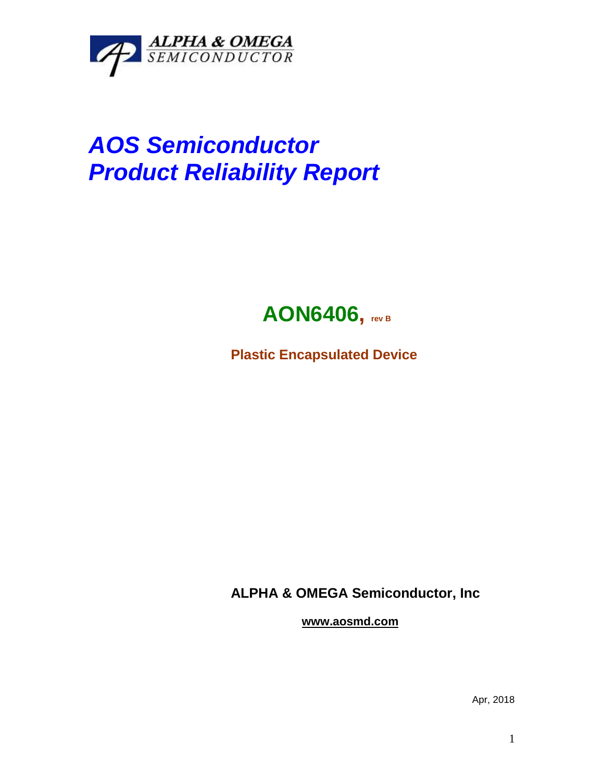

## *AOS Semiconductor Product Reliability Report*



**Plastic Encapsulated Device**

**ALPHA & OMEGA Semiconductor, Inc**

**www.aosmd.com**

Apr, 2018